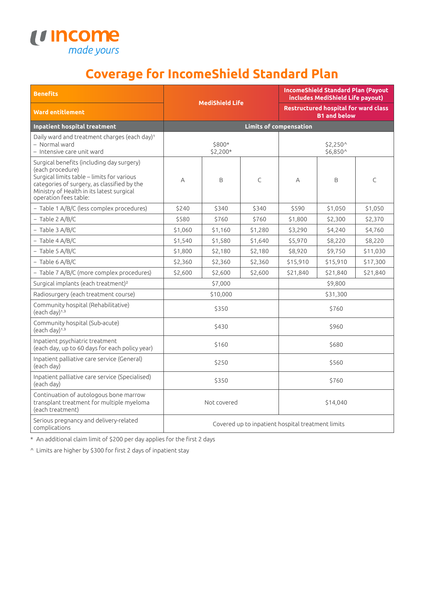

## **Coverage for IncomeShield Standard Plan**

| <b>Benefits</b>                                                                                                                                                                                                                  |                                                   |         | <b>IncomeShield Standard Plan (Payout)</b><br>includes MediShield Life payout) |                                                                    |          |          |
|----------------------------------------------------------------------------------------------------------------------------------------------------------------------------------------------------------------------------------|---------------------------------------------------|---------|--------------------------------------------------------------------------------|--------------------------------------------------------------------|----------|----------|
| <b>Ward entitlement</b>                                                                                                                                                                                                          | <b>MediShield Life</b>                            |         |                                                                                | <b>Restructured hospital for ward class</b><br><b>B1 and below</b> |          |          |
| Inpatient hospital treatment                                                                                                                                                                                                     | <b>Limits of compensation</b>                     |         |                                                                                |                                                                    |          |          |
| Daily ward and treatment charges (each day) <sup>1</sup><br>- Normal ward<br>- Intensive care unit ward                                                                                                                          | \$800*<br>\$2,200*                                |         |                                                                                | \$2.250^<br>\$6,850^                                               |          |          |
| Surgical benefits (including day surgery)<br>(each procedure)<br>Surgical limits table - limits for various<br>categories of surgery, as classified by the<br>Ministry of Health in its latest surgical<br>operation fees table: | А                                                 | B       | C                                                                              | Α                                                                  | B        | C        |
| - Table 1 A/B/C (less complex procedures)                                                                                                                                                                                        | \$240                                             | \$340   | \$340                                                                          | \$590                                                              | \$1,050  | \$1,050  |
| $-$ Table 2 A/B/C                                                                                                                                                                                                                | \$580                                             | \$760   | \$760                                                                          | \$1,800                                                            | \$2,300  | \$2,370  |
| $-$ Table 3 A/B/C                                                                                                                                                                                                                | \$1,060                                           | \$1,160 | \$1,280                                                                        | \$3,290                                                            | \$4,240  | \$4,760  |
| $-$ Table 4 A/B/C                                                                                                                                                                                                                | \$1,540                                           | \$1,580 | \$1,640                                                                        | \$5,970                                                            | \$8,220  | \$8,220  |
| $-$ Table 5 A/B/C                                                                                                                                                                                                                | \$1,800                                           | \$2,180 | \$2,180                                                                        | \$8,920                                                            | \$9,750  | \$11,030 |
| $-$ Table 6 A/B/C                                                                                                                                                                                                                | \$2,360                                           | \$2,360 | \$2,360                                                                        | \$15,910                                                           | \$15,910 | \$17,300 |
| - Table 7 A/B/C (more complex procedures)                                                                                                                                                                                        | \$2,600                                           | \$2,600 | \$2,600                                                                        | \$21,840                                                           | \$21,840 | \$21,840 |
| Surgical implants (each treatment) <sup>2</sup>                                                                                                                                                                                  | \$7,000                                           |         |                                                                                | \$9,800                                                            |          |          |
| Radiosurgery (each treatment course)                                                                                                                                                                                             | \$10,000                                          |         |                                                                                | \$31,300                                                           |          |          |
| Community hospital (Rehabilitative)<br>(each day) <sup>1,3</sup>                                                                                                                                                                 | \$350                                             |         |                                                                                | \$760                                                              |          |          |
| Community hospital (Sub-acute)<br>$(each day)^{1,3}$                                                                                                                                                                             | \$430                                             |         |                                                                                | \$960                                                              |          |          |
| Inpatient psychiatric treatment<br>(each day, up to 60 days for each policy year)                                                                                                                                                | \$160                                             |         |                                                                                | \$680                                                              |          |          |
| Inpatient palliative care service (General)<br>(each day)                                                                                                                                                                        | \$250                                             |         |                                                                                | \$560                                                              |          |          |
| Inpatient palliative care service (Specialised)<br>(each day)                                                                                                                                                                    | \$350                                             |         |                                                                                | \$760                                                              |          |          |
| Continuation of autologous bone marrow<br>transplant treatment for multiple myeloma<br>(each treatment)                                                                                                                          | Not covered                                       |         |                                                                                | \$14,040                                                           |          |          |
| Serious pregnancy and delivery-related<br>complications                                                                                                                                                                          | Covered up to inpatient hospital treatment limits |         |                                                                                |                                                                    |          |          |

\* An additional claim limit of \$200 per day applies for the first 2 days

^ Limits are higher by \$300 for first 2 days of inpatient stay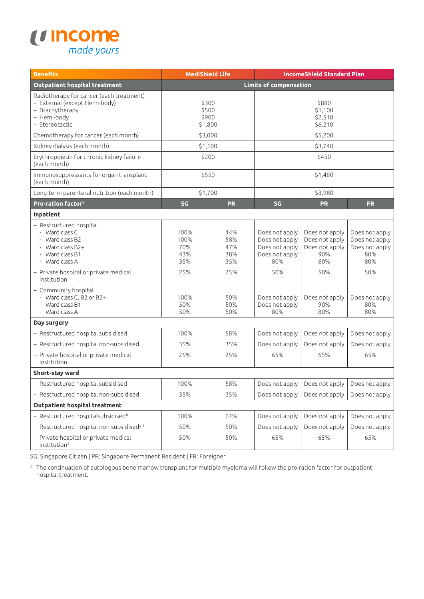

| <b>Benefits</b>                                                                                                                                                | <b>MediShield Life</b>                   |                                        |                                                                                    | <b>IncomeShield Standard Plan</b>                                       |                                                                         |  |
|----------------------------------------------------------------------------------------------------------------------------------------------------------------|------------------------------------------|----------------------------------------|------------------------------------------------------------------------------------|-------------------------------------------------------------------------|-------------------------------------------------------------------------|--|
| <b>Outpatient hospital treatment</b>                                                                                                                           | <b>Limits of compensation</b>            |                                        |                                                                                    |                                                                         |                                                                         |  |
| Radiotherapy for cancer (each treatment)<br>- External (except Hemi-body)<br>- Brachytherapy<br>- Hemi-body<br>- Stereotactic                                  | \$300<br>\$500<br>\$900<br>\$1,800       |                                        | \$880<br>\$1,100<br>\$2,510<br>\$6,210                                             |                                                                         |                                                                         |  |
| Chemotherapy for cancer (each month)                                                                                                                           | \$3,000                                  |                                        | \$5,200                                                                            |                                                                         |                                                                         |  |
| Kidney dialysis (each month)                                                                                                                                   | \$1,100                                  |                                        | \$3,740                                                                            |                                                                         |                                                                         |  |
| Erythropoietin for chronic kidney failure<br>(each month)                                                                                                      | \$200                                    |                                        | \$450                                                                              |                                                                         |                                                                         |  |
| Immunosuppressants for organ transplant<br>(each month)                                                                                                        | \$550                                    |                                        | \$1,480                                                                            |                                                                         |                                                                         |  |
| Long-term parenteral nutrition (each month)                                                                                                                    | \$1,700                                  |                                        | \$3,980                                                                            |                                                                         |                                                                         |  |
| <b>Pro-ration factor4</b>                                                                                                                                      | SG                                       | <b>PR</b>                              | SG                                                                                 | <b>PR</b>                                                               | <b>FR</b>                                                               |  |
| Inpatient                                                                                                                                                      |                                          |                                        |                                                                                    |                                                                         |                                                                         |  |
| - Restructured hospital<br>- Ward class C<br>- Ward class B2<br>- Ward class B2+<br>- Ward class B1<br>- Ward class A<br>- Private hospital or private medical | 100%<br>100%<br>70%<br>43%<br>35%<br>25% | 44%<br>58%<br>47%<br>38%<br>35%<br>25% | Does not apply<br>Does not apply<br>Does not apply<br>Does not apply<br>80%<br>50% | Does not apply<br>Does not apply<br>Does not apply<br>90%<br>80%<br>50% | Does not apply<br>Does not apply<br>Does not apply<br>80%<br>80%<br>50% |  |
| institution<br>- Community hospital<br>- Ward class C, B2 or B2+<br>- Ward class B1<br>- Ward class A                                                          | 100%<br>50%<br>50%                       | 50%<br>50%<br>50%                      | Does not apply<br>Does not apply<br>80%                                            | Does not apply<br>90%<br>80%                                            | Does not apply<br>80%<br>80%                                            |  |
| Day surgery                                                                                                                                                    |                                          |                                        |                                                                                    |                                                                         |                                                                         |  |
| - Restructured hospital subsidised                                                                                                                             | 100%                                     | 58%                                    | Does not apply                                                                     | Does not apply                                                          | Does not apply                                                          |  |
| - Restructured hospital non-subsidised                                                                                                                         | 35%                                      | 35%                                    | Does not apply                                                                     | Does not apply                                                          | Does not apply                                                          |  |
| - Private hospital or private medical<br>institution                                                                                                           | 25%                                      | 25%                                    | 65%                                                                                | 65%                                                                     | 65%                                                                     |  |
| Short-stay ward                                                                                                                                                |                                          |                                        |                                                                                    |                                                                         |                                                                         |  |
| - Restructured hospital subsidised                                                                                                                             | 100%                                     | 58%                                    | Does not apply                                                                     | Does not apply                                                          | Does not apply                                                          |  |
| - Restructured hospital non-subsidised                                                                                                                         | 35%                                      | 35%                                    | Does not apply                                                                     | Does not apply                                                          | Does not apply                                                          |  |
| <b>Outpatient hospital treatment</b>                                                                                                                           |                                          |                                        |                                                                                    |                                                                         |                                                                         |  |
| $-$ Restructured hospitalsubsidised#                                                                                                                           | 100%                                     | 67%                                    | Does not apply                                                                     | Does not apply                                                          | Does not apply                                                          |  |
| - Restructured hospital non-subsidised#,5                                                                                                                      | 50%                                      | 50%                                    | Does not apply                                                                     | Does not apply                                                          | Does not apply                                                          |  |
| - Private hospital or private medical<br>institution <sup>5</sup>                                                                                              | 50%                                      | 50%                                    | 65%                                                                                | 65%                                                                     | 65%                                                                     |  |

SG: Singapore Citizen | PR: Singapore Permanent Resident | FR: Foreigner

# The continuation of autologous bone marrow transplant for multiple myeloma will follow the pro-ration factor for outpatient hospital treatment.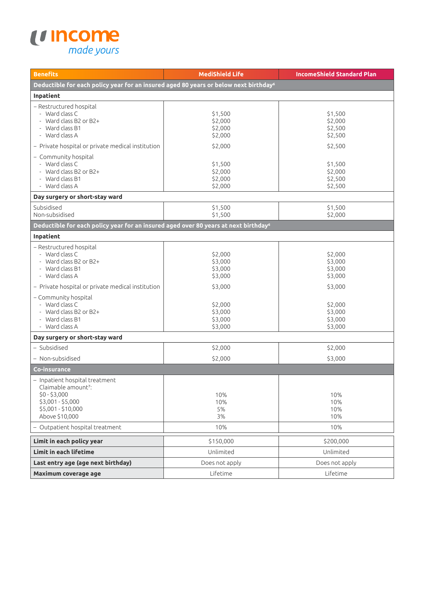

| <b>Benefits</b>                                                                                                                                 | <b>MediShield Life</b>                   | <b>IncomeShield Standard Plan</b>        |  |  |  |  |  |
|-------------------------------------------------------------------------------------------------------------------------------------------------|------------------------------------------|------------------------------------------|--|--|--|--|--|
| Deductible for each policy year for an insured aged 80 years or below next birthday <sup>6</sup>                                                |                                          |                                          |  |  |  |  |  |
| Inpatient                                                                                                                                       |                                          |                                          |  |  |  |  |  |
| - Restructured hospital<br>- Ward class C<br>- Ward class B2 or B2+<br>- Ward class B1<br>- Ward class A                                        | \$1,500<br>\$2,000<br>\$2,000<br>\$2,000 | \$1,500<br>\$2,000<br>\$2,500<br>\$2,500 |  |  |  |  |  |
| - Private hospital or private medical institution                                                                                               | \$2,000                                  | \$2,500                                  |  |  |  |  |  |
| - Community hospital<br>- Ward class C<br>- Ward class B2 or B2+<br>- Ward class B1<br>- Ward class A                                           | \$1,500<br>\$2,000<br>\$2,000<br>\$2,000 | \$1,500<br>\$2,000<br>\$2,500<br>\$2,500 |  |  |  |  |  |
| Day surgery or short-stay ward                                                                                                                  |                                          |                                          |  |  |  |  |  |
| Subsidised<br>Non-subsidised                                                                                                                    | \$1,500<br>\$1,500                       | \$1,500<br>\$2.000                       |  |  |  |  |  |
| Deductible for each policy year for an insured aged over 80 years at next birthday <sup>6</sup>                                                 |                                          |                                          |  |  |  |  |  |
| Inpatient                                                                                                                                       |                                          |                                          |  |  |  |  |  |
| - Restructured hospital<br>- Ward class C<br>- Ward class B2 or B2+<br>- Ward class B1<br>- Ward class A                                        | \$2,000<br>\$3,000<br>\$3,000<br>\$3,000 | \$2,000<br>\$3,000<br>\$3,000<br>\$3,000 |  |  |  |  |  |
| - Private hospital or private medical institution                                                                                               | \$3,000                                  | \$3,000                                  |  |  |  |  |  |
| - Community hospital<br>- Ward class C<br>- Ward class B2 or B2+<br>- Ward class B1<br>- Ward class A                                           | \$2,000<br>\$3,000<br>\$3,000<br>\$3,000 | \$2,000<br>\$3,000<br>\$3,000<br>\$3,000 |  |  |  |  |  |
| Day surgery or short-stay ward                                                                                                                  |                                          |                                          |  |  |  |  |  |
| - Subsidised                                                                                                                                    | \$2,000                                  | \$2,000                                  |  |  |  |  |  |
| - Non-subsidised                                                                                                                                | \$2,000                                  | \$3,000                                  |  |  |  |  |  |
| <b>Co-insurance</b>                                                                                                                             |                                          |                                          |  |  |  |  |  |
| - Inpatient hospital treatment<br>Claimable amount <sup>7</sup> :<br>$$0 - $3,000$<br>\$3,001 - \$5,000<br>\$5,001 - \$10,000<br>Above \$10,000 | 10%<br>10%<br>5%<br>3%                   | 10%<br>10%<br>10%<br>10%                 |  |  |  |  |  |
| - Outpatient hospital treatment                                                                                                                 | 10%                                      | 10%                                      |  |  |  |  |  |
| Limit in each policy year                                                                                                                       | \$150,000                                | \$200,000                                |  |  |  |  |  |
| Limit in each lifetime                                                                                                                          | Unlimited                                | Unlimited                                |  |  |  |  |  |
| Last entry age (age next birthday)                                                                                                              | Does not apply                           | Does not apply                           |  |  |  |  |  |
| Maximum coverage age                                                                                                                            | Lifetime                                 | Lifetime                                 |  |  |  |  |  |